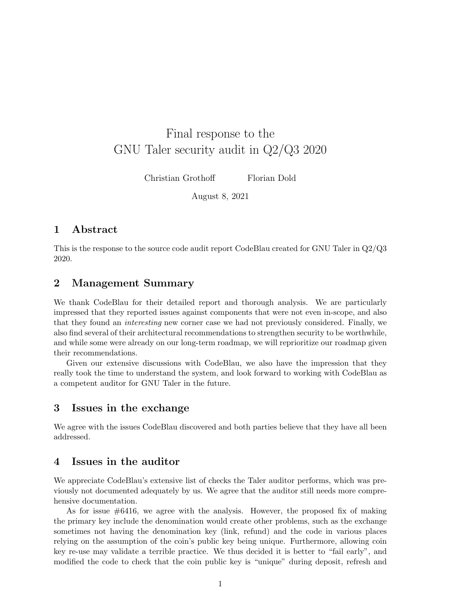# Final response to the GNU Taler security audit in Q2/Q3 2020

Christian Grothoff Florian Dold

August 8, 2021

# 1 Abstract

This is the response to the source code audit report CodeBlau created for GNU Taler in Q2/Q3 2020.

# 2 Management Summary

We thank CodeBlau for their detailed report and thorough analysis. We are particularly impressed that they reported issues against components that were not even in-scope, and also that they found an interesting new corner case we had not previously considered. Finally, we also find several of their architectural recommendations to strengthen security to be worthwhile, and while some were already on our long-term roadmap, we will reprioritize our roadmap given their recommendations.

Given our extensive discussions with CodeBlau, we also have the impression that they really took the time to understand the system, and look forward to working with CodeBlau as a competent auditor for GNU Taler in the future.

# 3 Issues in the exchange

We agree with the issues CodeBlau discovered and both parties believe that they have all been addressed.

# 4 Issues in the auditor

We appreciate CodeBlau's extensive list of checks the Taler auditor performs, which was previously not documented adequately by us. We agree that the auditor still needs more comprehensive documentation.

As for issue  $\#6416$ , we agree with the analysis. However, the proposed fix of making the primary key include the denomination would create other problems, such as the exchange sometimes not having the denomination key (link, refund) and the code in various places relying on the assumption of the coin's public key being unique. Furthermore, allowing coin key re-use may validate a terrible practice. We thus decided it is better to "fail early", and modified the code to check that the coin public key is "unique" during deposit, refresh and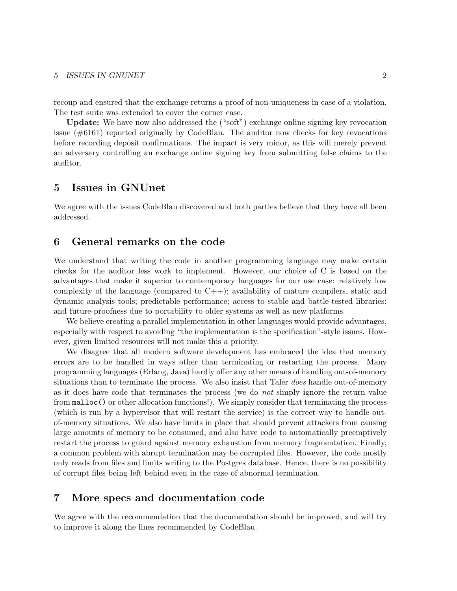### 5 ISSUES IN GNUNET 2

recoup and ensured that the exchange returns a proof of non-uniqueness in case of a violation. The test suite was extended to cover the corner case.

Update: We have now also addressed the ("soft") exchange online signing key revocation issue (#6161) reported originally by CodeBlau. The auditor now checks for key revocations before recording deposit confirmations. The impact is very minor, as this will merely prevent an adversary controlling an exchange online signing key from submitting false claims to the auditor.

# 5 Issues in GNUnet

We agree with the issues CodeBlau discovered and both parties believe that they have all been addressed.

# 6 General remarks on the code

We understand that writing the code in another programming language may make certain checks for the auditor less work to implement. However, our choice of C is based on the advantages that make it superior to contemporary languages for our use case: relatively low complexity of the language (compared to  $C_{++}$ ); availability of mature compilers, static and dynamic analysis tools; predictable performance; access to stable and battle-tested libraries; and future-proofness due to portability to older systems as well as new platforms.

We believe creating a parallel implementation in other languages would provide advantages, especially with respect to avoiding "the implementation is the specification"-style issues. However, given limited resources will not make this a priority.

We disagree that all modern software development has embraced the idea that memory errors are to be handled in ways other than terminating or restarting the process. Many programming languages (Erlang, Java) hardly offer any other means of handling out-of-memory situations than to terminate the process. We also insist that Taler *does* handle out-of-memory as it does have code that terminates the process (we do not simply ignore the return value from malloc() or other allocation functions!). We simply consider that terminating the process (which is run by a hypervisor that will restart the service) is the correct way to handle outof-memory situations. We also have limits in place that should prevent attackers from causing large amounts of memory to be consumed, and also have code to automatically preemptively restart the process to guard against memory exhaustion from memory fragmentation. Finally, a common problem with abrupt termination may be corrupted files. However, the code mostly only reads from files and limits writing to the Postgres database. Hence, there is no possibility of corrupt files being left behind even in the case of abnormal termination.

# 7 More specs and documentation code

We agree with the recommendation that the documentation should be improved, and will try to improve it along the lines recommended by CodeBlau.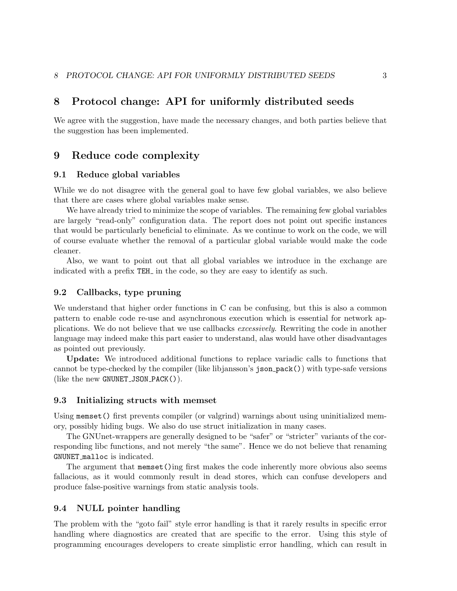# 8 Protocol change: API for uniformly distributed seeds

We agree with the suggestion, have made the necessary changes, and both parties believe that the suggestion has been implemented.

# 9 Reduce code complexity

### 9.1 Reduce global variables

While we do not disagree with the general goal to have few global variables, we also believe that there are cases where global variables make sense.

We have already tried to minimize the scope of variables. The remaining few global variables are largely "read-only" configuration data. The report does not point out specific instances that would be particularly beneficial to eliminate. As we continue to work on the code, we will of course evaluate whether the removal of a particular global variable would make the code cleaner.

Also, we want to point out that all global variables we introduce in the exchange are indicated with a prefix TEH<sub></sub> in the code, so they are easy to identify as such.

# 9.2 Callbacks, type pruning

We understand that higher order functions in C can be confusing, but this is also a common pattern to enable code re-use and asynchronous execution which is essential for network applications. We do not believe that we use callbacks excessively. Rewriting the code in another language may indeed make this part easier to understand, alas would have other disadvantages as pointed out previously.

Update: We introduced additional functions to replace variadic calls to functions that cannot be type-checked by the compiler (like libjansson's json pack()) with type-safe versions (like the new GNUNET\_JSON\_PACK()).

#### 9.3 Initializing structs with memset

Using memset() first prevents compiler (or valgrind) warnings about using uninitialized memory, possibly hiding bugs. We also do use struct initialization in many cases.

The GNUnet-wrappers are generally designed to be "safer" or "stricter" variants of the corresponding libc functions, and not merely "the same". Hence we do not believe that renaming GNUNET malloc is indicated.

The argument that memset()ing first makes the code inherently more obvious also seems fallacious, as it would commonly result in dead stores, which can confuse developers and produce false-positive warnings from static analysis tools.

## 9.4 NULL pointer handling

The problem with the "goto fail" style error handling is that it rarely results in specific error handling where diagnostics are created that are specific to the error. Using this style of programming encourages developers to create simplistic error handling, which can result in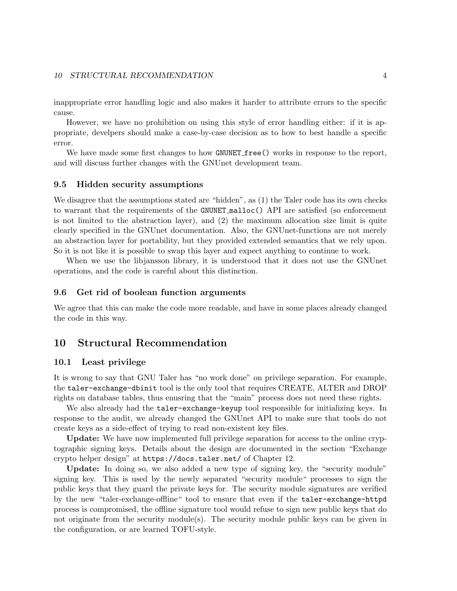### 10 STRUCTURAL RECOMMENDATION 4

inappropriate error handling logic and also makes it harder to attribute errors to the specific cause.

However, we have no prohibition on using this style of error handling either: if it is appropriate, develpers should make a case-by-case decision as to how to best handle a specific error.

We have made some first changes to how GNUNET free () works in response to the report, and will discuss further changes with the GNUnet development team.

### 9.5 Hidden security assumptions

We disagree that the assumptions stated are "hidden", as  $(1)$  the Taler code has its own checks to warrant that the requirements of the GNUNET malloc() API are satisfied (so enforcement is not limited to the abstraction layer), and (2) the maximum allocation size limit is quite clearly specified in the GNUnet documentation. Also, the GNUnet-functions are not merely an abstraction layer for portability, but they provided extended semantics that we rely upon. So it is not like it is possible to swap this layer and expect anything to continue to work.

When we use the libjansson library, it is understood that it does not use the GNUnet operations, and the code is careful about this distinction.

### 9.6 Get rid of boolean function arguments

We agree that this can make the code more readable, and have in some places already changed the code in this way.

# 10 Structural Recommendation

### 10.1 Least privilege

It is wrong to say that GNU Taler has "no work done" on privilege separation. For example, the taler-exchange-dbinit tool is the only tool that requires CREATE, ALTER and DROP rights on database tables, thus enusring that the "main" process does not need these rights.

We also already had the **taler-exchange-keyup** tool responsible for initializing keys. In response to the audit, we already changed the GNUnet API to make sure that tools do not create keys as a side-effect of trying to read non-existent key files.

Update: We have now implemented full privilege separation for access to the online cryptographic signing keys. Details about the design are documented in the section "Exchange crypto helper design" at https://docs.taler.net/ of Chapter 12.

Update: In doing so, we also added a new type of signing key, the "security module" signing key. This is used by the newly separated "security module" processes to sign the public keys that they guard the private keys for. The security module signatures are verified by the new "taler-exchange-offline" tool to ensure that even if the taler-exchange-httpd process is compromised, the offline signature tool would refuse to sign new public keys that do not originate from the security module(s). The security module public keys can be given in the configuration, or are learned TOFU-style.